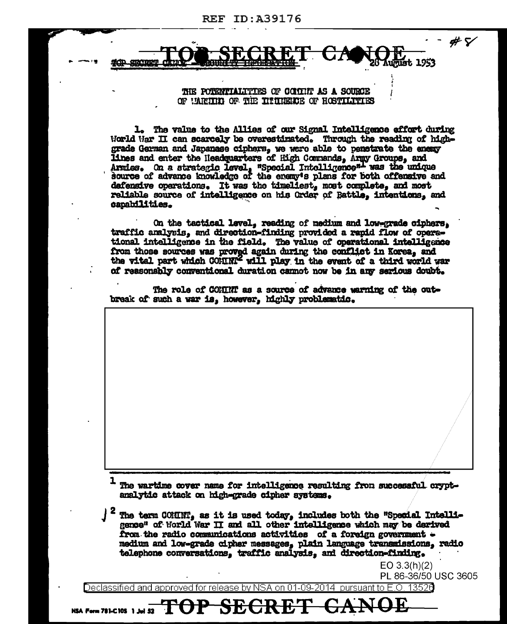213001

## THE POTENTIALITIES OF COLITIP AS A SOURCE OF UARITH OF THE INTIMERER OF HOSTILITIES

1. The value to the Allies of our Signal Intelligence effort during World War II can scarcely be overestimated. Through the reading of highgrade German and Japanase ciphers, we were able to penstrate the energy lines and enter the Headquarters of High Commands, Army Groups, and Armies. On a strategic level, "Special Intolligence"- was the unique source of advance knowledge of the energy's plans for both offensive and defensive operations. It was the timeliest, most complete, and most reliable source of intelligence on his Order of Battle, intentions, and capabilities.

On the tactical level, reading of medium and low-grade ciphers. traffic analysis, and direction-finding provided a rapid flow of operational intelligence in the field. The value of operational intelligence from those sources was proved again during the conflict in Korea, and the vital part which COMMN' will play in the event of a third world war of reasonably conventional duration cannot now be in any serious doubt.

The role of COMINT as a source of advance warning of the outbreak of such a war is, however, highly problematic.

The wartime cover name for intelligence resulting from successful cryptanalytic attack on high-grade cipher avatems.

The term COMINT, as it is used today, includes both the "Special Intelligence" of World War II and all other intelligence which may be derived from the radio communications activities of a foreign government medium and low-grade cipher messages, plain language transmissions, radio telephone conversations, traffic analysis, and direction-finding.

> $EO 3.3(h)(2)$ PL 86-36/50 USC 3605

#7

unust 1953

Declassified and approved for release by NSA on 01-09-2014  $\,$  pursuant to E.O. 13526  $\,$ 

**SEG** 

DP-

NSA Form 781-C10S 1 Jul 52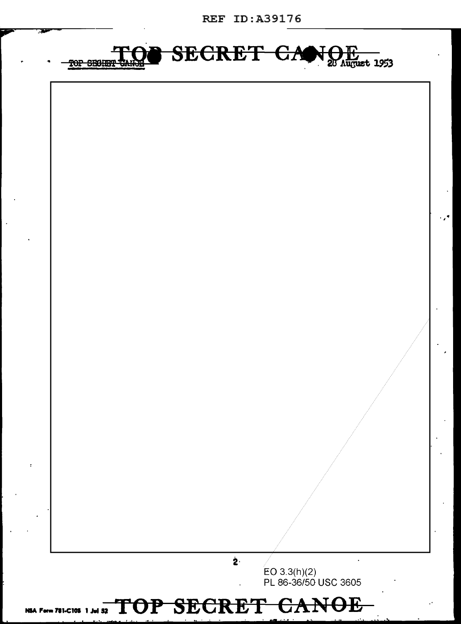REF ID:A39176



..~

## NSA Form 781-C105 1 Jul 52 TOP SECRET CANOE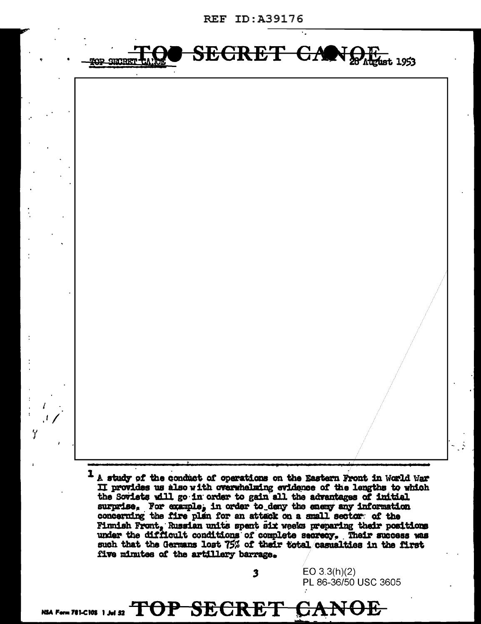**REF ID:A39176** 



II provides us also with overwhelming evidence of the lengths to which the Soviets will go in order to gain all the advantages of initial surprise. For example, in order to deny the enemy any information concerning the fire plan for an attack on a small sector of the Finnish Front. Russian units spent six weeks preparing their positions under the difficult conditions of complete secrecy. Their success was such that the Germans lost 75% of their total casualties in the first five minutes of the artillery barrage.

 $\overline{\mathbf{3}}$ 

EO  $3.3(h)(2)$ 

PL 86-36/50 USC 3605

**NOF** 

NSA Form 781-C105 1 Jul 52  $\text{TOP}$   $\text{SEGRE}$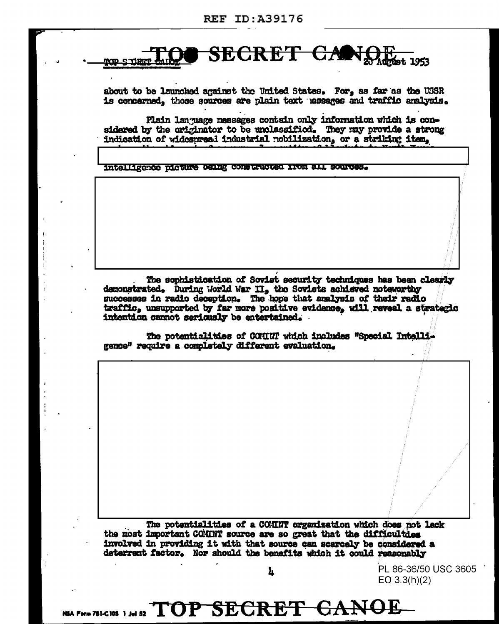

about to be launched against the United States. For, as far as the USSR is concerned, those sources are plain text hessages and traffic analysis.

Plain lan uage messages contain only information which is considered by the originator to be unclassified. They may provide a strong indication of widespread industrial nobilization, or a striking item,

intalligence picture Denng constructed from all sources.

The sophistication of Soviet security techniques has been clearly demonstrated. During World War II, the Soviets achieved noteworthy successes in radio deception. The hope that analysis of their radio traffic, unsupported by far more positive evidence, will reveal a strategic intention cannot seriously be entertained.

The potentialities of COMINT which includes "Special Intelligence" require a completely different evaluation.

The potentialities of a COMINT organization which does not lack the most important COMINT source are so great that the difficulties involved in providing it with that source can scarcely be considered a deterrent factor. Nor should the benefits which it could reasonably

Ŀ

PL 86-36/50 USC 3605 EO  $3.3(h)(2)$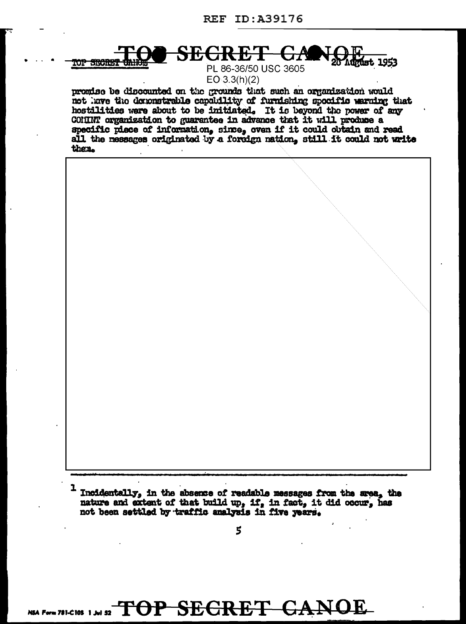**TOP SECRET** 

SECR **Must 1953** 

PL 86-36/50 USC 3605  $EO 3.3(h)(2)$ 

promise be discounted on the grounds that such an organization would not have the demonstrable capability of furnishing specific warning that hostilities were about to be initiated. It is beyond the power of any COMINT organization to guarantee in advance that it will produce a specific piece of information, since, oven if it could obtain and read all the messages originated by a foreign nation, still it could not write then.



I Incidentally, in the absence of readable messages from the area, the nature and extent of that build up, if, in fact, it did occur, has not been settled by traffic analysis in five years.

NSA FOTABLEINS 1, MI ST TOP SECRET CANOE